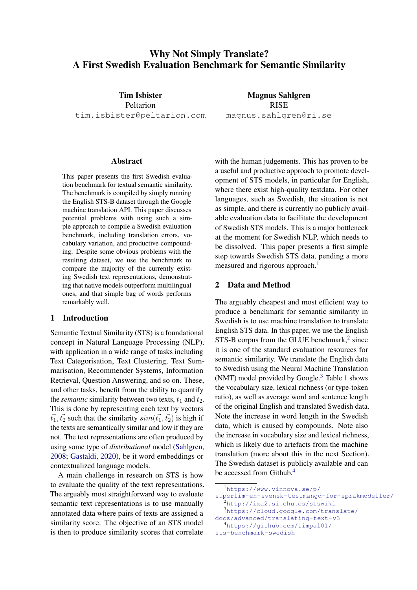# Why Not Simply Translate? A First Swedish Evaluation Benchmark for Semantic Similarity

Tim Isbister Peltarion tim.isbister@peltarion.com

Magnus Sahlgren RISE magnus.sahlgren@ri.se

#### Abstract

This paper presents the first Swedish evaluation benchmark for textual semantic similarity. The benchmark is compiled by simply running the English STS-B dataset through the Google machine translation API. This paper discusses potential problems with using such a simple approach to compile a Swedish evaluation benchmark, including translation errors, vocabulary variation, and productive compounding. Despite some obvious problems with the resulting dataset, we use the benchmark to compare the majority of the currently existing Swedish text representations, demonstrating that native models outperform multilingual ones, and that simple bag of words performs remarkably well.

### 1 Introduction

Semantic Textual Similarity (STS) is a foundational concept in Natural Language Processing (NLP), with application in a wide range of tasks including Text Categorisation, Text Clustering, Text Summarisation, Recommender Systems, Information Retrieval, Question Answering, and so on. These, and other tasks, benefit from the ability to quantify the *semantic* similarity between two texts,  $t_1$  and  $t_2$ . This is done by representing each text by vectors  $t_1, t_2$  such that the similarity  $sim(t_1, t_2)$  is high if the texts are semantically similar and low if they are not. The text representations are often produced by using some type of *distributional* model [\(Sahlgren,](#page-4-0) [2008;](#page-4-0) [Gastaldi,](#page-4-1) [2020\)](#page-4-1), be it word embeddings or contextualized language models.

A main challenge in research on STS is how to evaluate the quality of the text representations. The arguably most straightforward way to evaluate semantic text representations is to use manually annotated data where pairs of texts are assigned a similarity score. The objective of an STS model is then to produce similarity scores that correlate

with the human judgements. This has proven to be a useful and productive approach to promote development of STS models, in particular for English, where there exist high-quality testdata. For other languages, such as Swedish, the situation is not as simple, and there is currently no publicly available evaluation data to facilitate the development of Swedish STS models. This is a major bottleneck at the moment for Swedish NLP, which needs to be dissolved. This paper presents a first simple step towards Swedish STS data, pending a more measured and rigorous approach.<sup>[1](#page-0-0)</sup>

#### 2 Data and Method

The arguably cheapest and most efficient way to produce a benchmark for semantic similarity in Swedish is to use machine translation to translate English STS data. In this paper, we use the English  $STS-B$  corpus from the GLUE benchmark, $2$  since it is one of the standard evaluation resources for semantic similarity. We translate the English data to Swedish using the Neural Machine Translation (NMT) model provided by Google. $3$  Table [1](#page-1-0) shows the vocabulary size, lexical richness (or type-token ratio), as well as average word and sentence length of the original English and translated Swedish data. Note the increase in word length in the Swedish data, which is caused by compounds. Note also the increase in vocabulary size and lexical richness, which is likely due to artefacts from the machine translation (more about this in the next Section). The Swedish dataset is publicly available and can be accessed from Github.<sup>[4](#page-0-3)</sup>

<span id="page-0-0"></span><sup>1</sup>[https://www.vinnova.se/p/](https://www.vinnova.se/p/superlim-en-svensk-testmangd-for-sprakmodeller/)

<span id="page-0-1"></span>[superlim-en-svensk-testmangd-for-sprakmodeller/](https://www.vinnova.se/p/superlim-en-svensk-testmangd-for-sprakmodeller/)  $^{2}$ <http://ixa2.si.ehu.es/stswiki>

<span id="page-0-2"></span><sup>3</sup>[https://cloud.google.com/translate/](https://cloud.google.com/translate/docs/advanced/translating-text-v3) [docs/advanced/translating-text-v3](https://cloud.google.com/translate/docs/advanced/translating-text-v3)

<span id="page-0-3"></span><sup>4</sup>[https://github.com/timpal0l/](https://github.com/timpal0l/sts-benchmark-swedish)

[sts-benchmark-swedish](https://github.com/timpal0l/sts-benchmark-swedish)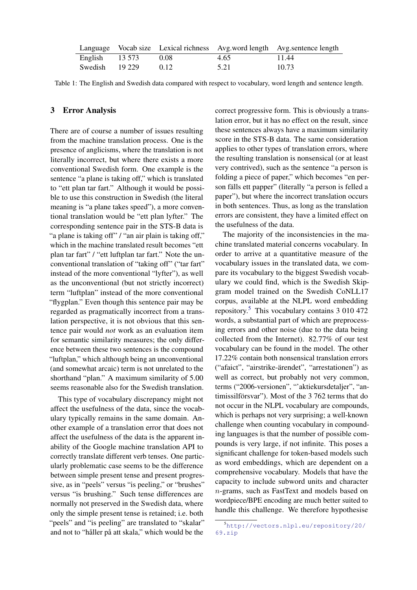<span id="page-1-0"></span>

|                   |      |      | Language Vocab size Lexical richness Avg. word length Avg. sentence length |
|-------------------|------|------|----------------------------------------------------------------------------|
| English $13\,573$ | 0.08 | 4.65 | 11.44                                                                      |
| Swedish 19 229    | 0.12 | 5.21 | 10.73                                                                      |

Table 1: The English and Swedish data compared with respect to vocabulary, word length and sentence length.

# <span id="page-1-2"></span>3 Error Analysis

There are of course a number of issues resulting from the machine translation process. One is the presence of anglicisms, where the translation is not literally incorrect, but where there exists a more conventional Swedish form. One example is the sentence "a plane is taking off," which is translated to "ett plan tar fart." Although it would be possible to use this construction in Swedish (the literal meaning is "a plane takes speed"), a more conventional translation would be "ett plan lyfter." The corresponding sentence pair in the STS-B data is "a plane is taking off" / "an air plain is taking off," which in the machine translated result becomes "ett plan tar fart" / "ett luftplan tar fart." Note the unconventional translation of "taking off" ("tar fart" instead of the more conventional "lyfter"), as well as the unconventional (but not strictly incorrect) term "luftplan" instead of the more conventional "flygplan." Even though this sentence pair may be regarded as pragmatically incorrect from a translation perspective, it is not obvious that this sentence pair would *not* work as an evaluation item for semantic similarity measures; the only difference between these two sentences is the compound "luftplan," which although being an unconventional (and somewhat arcaic) term is not unrelated to the shorthand "plan." A maximum similarity of 5.00 seems reasonable also for the Swedish translation.

This type of vocabulary discrepancy might not affect the usefulness of the data, since the vocabulary typically remains in the same domain. Another example of a translation error that does not affect the usefulness of the data is the apparent inability of the Google machine translation API to correctly translate different verb tenses. One particularly problematic case seems to be the difference between simple present tense and present progressive, as in "peels" versus "is peeling," or "brushes" versus "is brushing." Such tense differences are normally not preserved in the Swedish data, where only the simple present tense is retained; i.e. both "peels" and "is peeling" are translated to "skalar" and not to "håller på att skala," which would be the

correct progressive form. This is obviously a translation error, but it has no effect on the result, since these sentences always have a maximum similarity score in the STS-B data. The same consideration applies to other types of translation errors, where the resulting translation is nonsensical (or at least very contrived), such as the sentence "a person is folding a piece of paper," which becomes "en person falls ett papper" (literally "a person is felled a paper"), but where the incorrect translation occurs in both sentences. Thus, as long as the translation errors are consistent, they have a limited effect on the usefulness of the data.

The majority of the inconsistencies in the machine translated material concerns vocabulary. In order to arrive at a quantitative measure of the vocabulary issues in the translated data, we compare its vocabulary to the biggest Swedish vocabulary we could find, which is the Swedish Skipgram model trained on the Swedish CoNLL17 corpus, available at the NLPL word embedding repository.<sup>[5](#page-1-1)</sup> This vocabulary contains  $3\,010\,472$ words, a substantial part of which are preprocessing errors and other noise (due to the data being collected from the Internet). 82.77% of our test vocabulary can be found in the model. The other 17.22% contain both nonsensical translation errors ("afaict", "airstrike-arendet", "arrestationen") as ¨ well as correct, but probably not very common, terms ("2006-versionen", "'aktiekursdetaljer", "antimissilförsvar"). Most of the 3 762 terms that do not occur in the NLPL vocabulary are compounds, which is perhaps not very surprising; a well-known challenge when counting vocabulary in compounding languages is that the number of possible compounds is very large, if not infinite. This poses a significant challenge for token-based models such as word embeddings, which are dependent on a comprehensive vocabulary. Models that have the capacity to include subword units and character n-grams, such as FastText and models based on wordpiece/BPE encoding are much better suited to handle this challenge. We therefore hypothesise

<span id="page-1-1"></span><sup>5</sup>[http://vectors.nlpl.eu/repository/20/](http://vectors.nlpl.eu/repository/20/69.zip) [69.zip](http://vectors.nlpl.eu/repository/20/69.zip)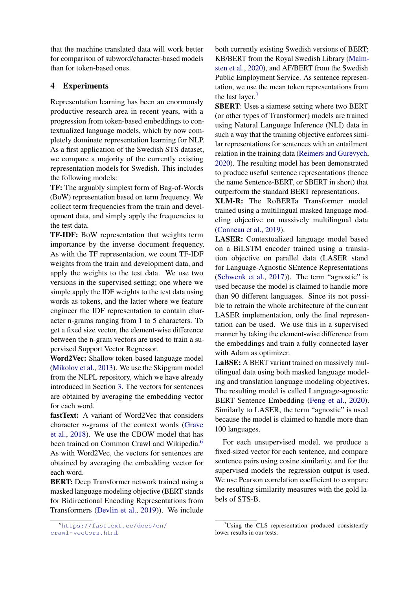that the machine translated data will work better for comparison of subword/character-based models than for token-based ones.

## 4 Experiments

Representation learning has been an enormously productive research area in recent years, with a progression from token-based embeddings to contextualized language models, which by now completely dominate representation learning for NLP. As a first application of the Swedish STS dataset, we compare a majority of the currently existing representation models for Swedish. This includes the following models:

TF: The arguably simplest form of Bag-of-Words (BoW) representation based on term frequency. We collect term frequencies from the train and development data, and simply apply the frequencies to the test data.

TF-IDF: BoW representation that weights term importance by the inverse document frequency. As with the TF representation, we count TF-IDF weights from the train and development data, and apply the weights to the test data. We use two versions in the supervised setting; one where we simple apply the IDF weights to the test data using words as tokens, and the latter where we feature engineer the IDF representation to contain character n-grams ranging from 1 to 5 characters. To get a fixed size vector, the element-wise difference between the n-gram vectors are used to train a supervised Support Vector Regressor.

Word2Vec: Shallow token-based language model [\(Mikolov et al.,](#page-4-2) [2013\)](#page-4-2). We use the Skipgram model from the NLPL repository, which we have already introduced in Section [3.](#page-1-2) The vectors for sentences are obtained by averaging the embedding vector for each word.

fastText: A variant of Word2Vec that considers character n-grams of the context words [\(Grave](#page-4-3) [et al.,](#page-4-3) [2018\)](#page-4-3). We use the CBOW model that has been trained on Common Crawl and Wikipedia.<sup>[6](#page-2-0)</sup> As with Word2Vec, the vectors for sentences are obtained by averaging the embedding vector for each word.

BERT: Deep Transformer network trained using a masked language modeling objective (BERT stands for Bidirectional Encoding Representations from Transformers [\(Devlin et al.,](#page-4-4) [2019\)](#page-4-4)). We include both currently existing Swedish versions of BERT; KB/BERT from the Royal Swedish Library [\(Malm](#page-4-5)[sten et al.,](#page-4-5) [2020\)](#page-4-5), and AF/BERT from the Swedish Public Employment Service. As sentence representation, we use the mean token representations from the last layer.<sup>[7](#page-2-1)</sup>

SBERT: Uses a siamese setting where two BERT (or other types of Transformer) models are trained using Natural Language Inference (NLI) data in such a way that the training objective enforces similar representations for sentences with an entailment relation in the training data [\(Reimers and Gurevych,](#page-4-6) [2020\)](#page-4-6). The resulting model has been demonstrated to produce useful sentence representations (hence the name Sentence-BERT, or SBERT in short) that outperform the standard BERT representations.

XLM-R: The RoBERTa Transformer model trained using a multilingual masked language modeling objective on massively multilingual data [\(Conneau et al.,](#page-4-7) [2019\)](#page-4-7).

LASER: Contextualized language model based on a BiLSTM encoder trained using a translation objective on parallel data (LASER stand for Language-Agnostic SEntence Representations [\(Schwenk et al.,](#page-4-8) [2017\)](#page-4-8)). The term "agnostic" is used because the model is claimed to handle more than 90 different languages. Since its not possible to retrain the whole architecture of the current LASER implementation, only the final representation can be used. We use this in a supervised manner by taking the element-wise difference from the embeddings and train a fully connected layer with Adam as optimizer.

LaBSE: A BERT variant trained on massively multilingual data using both masked language modeling and translation language modeling objectives. The resulting model is called Language-agnostic BERT Sentence Embedding [\(Feng et al.,](#page-4-9) [2020\)](#page-4-9). Similarly to LASER, the term "agnostic" is used because the model is claimed to handle more than 100 languages.

For each unsupervised model, we produce a fixed-sized vector for each sentence, and compare sentence pairs using cosine similarity, and for the supervised models the regression output is used. We use Pearson correlation coefficient to compare the resulting similarity measures with the gold labels of STS-B.

<span id="page-2-0"></span><sup>6</sup>[https://fasttext.cc/docs/en/](https://fasttext.cc/docs/en/crawl-vectors.html) [crawl-vectors.html](https://fasttext.cc/docs/en/crawl-vectors.html)

<span id="page-2-1"></span>Using the CLS representation produced consistently lower results in our tests.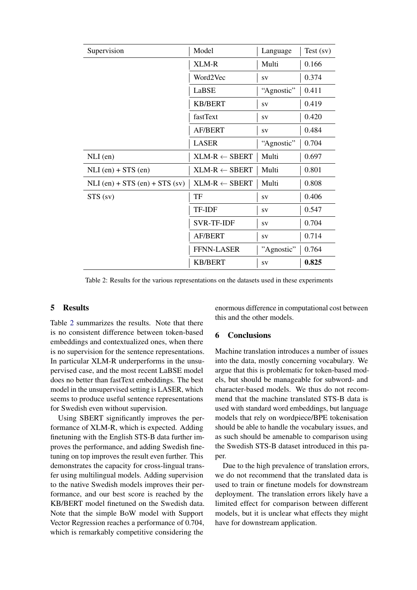<span id="page-3-0"></span>

| Supervision                      | Model                    | Language   | $Test$ (sv) |
|----------------------------------|--------------------------|------------|-------------|
|                                  | XLM-R                    | Multi      | 0.166       |
|                                  | Word2Vec                 | SV         | 0.374       |
|                                  | LaBSE                    | "Agnostic" | 0.411       |
|                                  | <b>KB/BERT</b>           | SV         | 0.419       |
|                                  | fastText                 | SV         | 0.420       |
|                                  | <b>AF/BERT</b>           | SV         | 0.484       |
|                                  | <b>LASER</b>             | "Agnostic" | 0.704       |
| $NLI$ (en)                       | $XLM-R \leftarrow SBERT$ | Multi      | 0.697       |
| $NLI$ (en) + STS (en)            | $XLM-R \leftarrow SBERT$ | Multi      | 0.801       |
| $NLI$ (en) + STS (en) + STS (sv) | $XLM-R \leftarrow SBERT$ | Multi      | 0.808       |
| STS (sv)                         | TF                       | SV         | 0.406       |
|                                  | TF-IDF                   | <b>SV</b>  | 0.547       |
|                                  | <b>SVR-TF-IDF</b>        | SV         | 0.704       |
|                                  | <b>AF/BERT</b>           | SV         | 0.714       |
|                                  | <b>FFNN-LASER</b>        | "Agnostic" | 0.764       |
|                                  | <b>KB/BERT</b>           | SV         | 0.825       |

Table 2: Results for the various representations on the datasets used in these experiments

### 5 Results

Table [2](#page-3-0) summarizes the results. Note that there is no consistent difference between token-based embeddings and contextualized ones, when there is no supervision for the sentence representations. In particular XLM-R underperforms in the unsupervised case, and the most recent LaBSE model does no better than fastText embeddings. The best model in the unsupervised setting is LASER, which seems to produce useful sentence representations for Swedish even without supervision.

Using SBERT significantly improves the performance of XLM-R, which is expected. Adding finetuning with the English STS-B data further improves the performance, and adding Swedish finetuning on top improves the result even further. This demonstrates the capacity for cross-lingual transfer using multilingual models. Adding supervision to the native Swedish models improves their performance, and our best score is reached by the KB/BERT model finetuned on the Swedish data. Note that the simple BoW model with Support Vector Regression reaches a performance of 0.704, which is remarkably competitive considering the enormous difference in computational cost between this and the other models.

### 6 Conclusions

Machine translation introduces a number of issues into the data, mostly concerning vocabulary. We argue that this is problematic for token-based models, but should be manageable for subword- and character-based models. We thus do not recommend that the machine translated STS-B data is used with standard word embeddings, but language models that rely on wordpiece/BPE tokenisation should be able to handle the vocabulary issues, and as such should be amenable to comparison using the Swedish STS-B dataset introduced in this paper.

Due to the high prevalence of translation errors, we do not recommend that the translated data is used to train or finetune models for downstream deployment. The translation errors likely have a limited effect for comparison between different models, but it is unclear what effects they might have for downstream application.